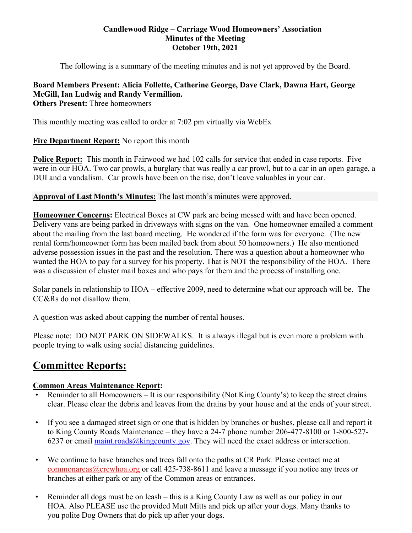#### **Candlewood Ridge – Carriage Wood Homeowners' Association Minutes of the Meeting October 19th, 2021**

The following is a summary of the meeting minutes and is not yet approved by the Board.

#### **Board Members Present: Alicia Follette, Catherine George, Dave Clark, Dawna Hart, George McGill, Ian Ludwig and Randy Vermillion. Others Present:** Three homeowners

This monthly meeting was called to order at 7:02 pm virtually via WebEx

# **Fire Department Report:** No report this month

**Police Report:** This month in Fairwood we had 102 calls for service that ended in case reports. Five were in our HOA. Two car prowls, a burglary that was really a car prowl, but to a car in an open garage, a DUI and a vandalism. Car prowls have been on the rise, don't leave valuables in your car.

## **Approval of Last Month's Minutes:** The last month's minutes were approved.

**Homeowner Concerns:** Electrical Boxes at CW park are being messed with and have been opened. Delivery vans are being parked in driveways with signs on the van. One homeowner emailed a comment about the mailing from the last board meeting. He wondered if the form was for everyone. (The new rental form/homeowner form has been mailed back from about 50 homeowners.) He also mentioned adverse possession issues in the past and the resolution. There was a question about a homeowner who wanted the HOA to pay for a survey for his property. That is NOT the responsibility of the HOA. There was a discussion of cluster mail boxes and who pays for them and the process of installing one.

Solar panels in relationship to HOA – effective 2009, need to determine what our approach will be. The CC&Rs do not disallow them.

A question was asked about capping the number of rental houses.

Please note: DO NOT PARK ON SIDEWALKS. It is always illegal but is even more a problem with people trying to walk using social distancing guidelines.

# **Committee Reports:**

## **Common Areas Maintenance Report:**

- Reminder to all Homeowners It is our responsibility (Not King County's) to keep the street drains clear. Please clear the debris and leaves from the drains by your house and at the ends of your street.
- If you see a damaged street sign or one that is hidden by branches or bushes, please call and report it to King County Roads Maintenance – they have a 24-7 phone number 206-477-8100 or 1-800-527- 6237 or email maint.roads $@$ kingcounty.gov. They will need the exact address or intersection.
- We continue to have branches and trees fall onto the paths at CR Park. Please contact me at commonareas@crcwhoa.org or call 425-738-8611 and leave a message if you notice any trees or branches at either park or any of the Common areas or entrances.
- Reminder all dogs must be on leash this is a King County Law as well as our policy in our HOA. Also PLEASE use the provided Mutt Mitts and pick up after your dogs. Many thanks to you polite Dog Owners that do pick up after your dogs.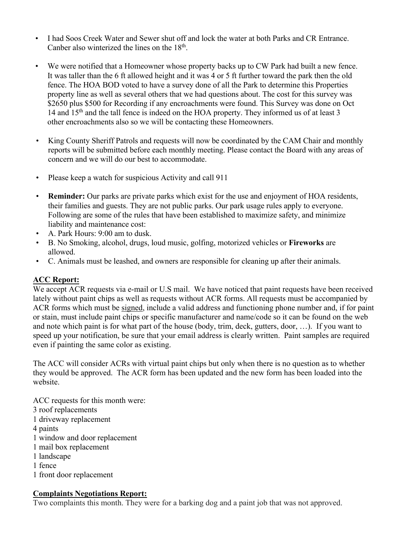- I had Soos Creek Water and Sewer shut off and lock the water at both Parks and CR Entrance. Canber also winterized the lines on the  $18<sup>th</sup>$ .
- We were notified that a Homeowner whose property backs up to CW Park had built a new fence. It was taller than the 6 ft allowed height and it was 4 or 5 ft further toward the park then the old fence. The HOA BOD voted to have a survey done of all the Park to determine this Properties property line as well as several others that we had questions about. The cost for this survey was \$2650 plus \$500 for Recording if any encroachments were found. This Survey was done on Oct 14 and  $15<sup>th</sup>$  and the tall fence is indeed on the HOA property. They informed us of at least 3 other encroachments also so we will be contacting these Homeowners.
- King County Sheriff Patrols and requests will now be coordinated by the CAM Chair and monthly reports will be submitted before each monthly meeting. Please contact the Board with any areas of concern and we will do our best to accommodate.
- Please keep a watch for suspicious Activity and call 911
- **Reminder:** Our parks are private parks which exist for the use and enjoyment of HOA residents, their families and guests. They are not public parks. Our park usage rules apply to everyone. Following are some of the rules that have been established to maximize safety, and minimize liability and maintenance cost:
- A. Park Hours: 9:00 am to dusk.
- B. No Smoking, alcohol, drugs, loud music, golfing, motorized vehicles or **Fireworks** are allowed.
- C. Animals must be leashed, and owners are responsible for cleaning up after their animals.

## **ACC Report:**

We accept ACR requests via e-mail or U.S mail. We have noticed that paint requests have been received lately without paint chips as well as requests without ACR forms. All requests must be accompanied by ACR forms which must be signed, include a valid address and functioning phone number and, if for paint or stain, must include paint chips or specific manufacturer and name/code so it can be found on the web and note which paint is for what part of the house (body, trim, deck, gutters, door, …). If you want to speed up your notification, be sure that your email address is clearly written. Paint samples are required even if painting the same color as existing.

The ACC will consider ACRs with virtual paint chips but only when there is no question as to whether they would be approved. The ACR form has been updated and the new form has been loaded into the website.

ACC requests for this month were: 3 roof replacements 1 driveway replacement 4 paints 1 window and door replacement 1 mail box replacement 1 landscape 1 fence

1 front door replacement

## **Complaints Negotiations Report:**

Two complaints this month. They were for a barking dog and a paint job that was not approved.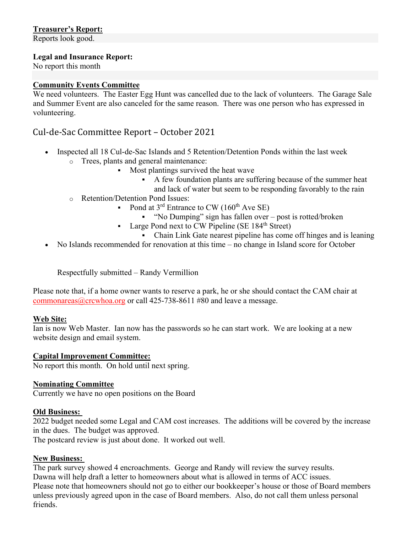# **Treasurer's Report:**

Reports look good.

## **Legal and Insurance Report:**

No report this month

## **Community Events Committee**

We need volunteers. The Easter Egg Hunt was cancelled due to the lack of volunteers. The Garage Sale and Summer Event are also canceled for the same reason. There was one person who has expressed in volunteering.

# Cul-de-Sac Committee Report – October 2021

- Inspected all 18 Cul-de-Sac Islands and 5 Retention/Detention Ponds within the last week
	- o Trees, plants and general maintenance:
		- Most plantings survived the heat wave
			- A few foundation plants are suffering because of the summer heat and lack of water but seem to be responding favorably to the rain
	- o Retention/Detention Pond Issues:
		- Pond at  $3^{\text{rd}}$  Entrance to CW (160<sup>th</sup> Ave SE)
			- "No Dumping" sign has fallen over post is rotted/broken
		- Large Pond next to CW Pipeline (SE  $184<sup>th</sup>$  Street)
			- Chain Link Gate nearest pipeline has come off hinges and is leaning
- No Islands recommended for renovation at this time no change in Island score for October

Respectfully submitted – Randy Vermillion

Please note that, if a home owner wants to reserve a park, he or she should contact the CAM chair at commonareas@crcwhoa.org or call 425-738-8611 #80 and leave a message.

## **Web Site:**

Ian is now Web Master. Ian now has the passwords so he can start work. We are looking at a new website design and email system.

## **Capital Improvement Committee:**

No report this month. On hold until next spring.

## **Nominating Committee**

Currently we have no open positions on the Board

#### **Old Business:**

2022 budget needed some Legal and CAM cost increases. The additions will be covered by the increase in the dues. The budget was approved.

The postcard review is just about done. It worked out well.

## **New Business:**

The park survey showed 4 encroachments. George and Randy will review the survey results. Dawna will help draft a letter to homeowners about what is allowed in terms of ACC issues. Please note that homeowners should not go to either our bookkeeper's house or those of Board members unless previously agreed upon in the case of Board members. Also, do not call them unless personal friends.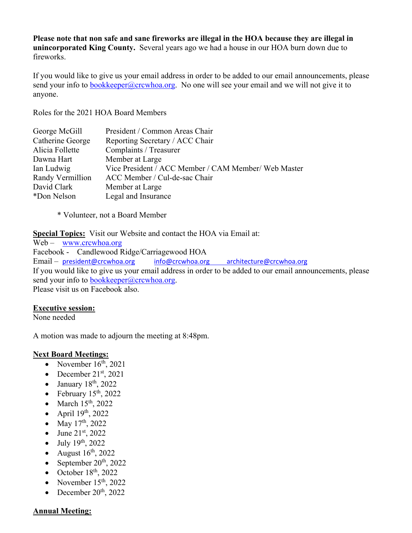**Please note that non safe and sane fireworks are illegal in the HOA because they are illegal in unincorporated King County.** Several years ago we had a house in our HOA burn down due to fireworks.

If you would like to give us your email address in order to be added to our email announcements, please send your info to bookkeeper@crcwhoa.org. No one will see your email and we will not give it to anyone.

Roles for the 2021 HOA Board Members

| George McGill    | President / Common Areas Chair                       |
|------------------|------------------------------------------------------|
| Catherine George | Reporting Secretary / ACC Chair                      |
| Alicia Follette  | Complaints / Treasurer                               |
| Dawna Hart       | Member at Large                                      |
| Ian Ludwig       | Vice President / ACC Member / CAM Member/ Web Master |
| Randy Vermillion | ACC Member / Cul-de-sac Chair                        |
| David Clark      | Member at Large                                      |
| *Don Nelson      | Legal and Insurance                                  |
|                  |                                                      |

\* Volunteer, not a Board Member

**Special Topics:** Visit our Website and contact the HOA via Email at:

Web – www.crcwhoa.org Facebook - Candlewood Ridge/Carriagewood HOA Email – president@crcwhoa.org info@crcwhoa.org architecture@crcwhoa.org If you would like to give us your email address in order to be added to our email announcements, please send your info to bookkeeper@crcwhoa.org. Please visit us on Facebook also.

## **Executive session:**

None needed

A motion was made to adjourn the meeting at 8:48pm.

## **Next Board Meetings:**

- November  $16<sup>th</sup>$ , 2021
- December  $21<sup>st</sup>$ , 2021
- $\bullet$  January 18<sup>th</sup>, 2022
- February  $15<sup>th</sup>$ , 2022
- $\bullet$  March 15<sup>th</sup>, 2022
- April  $19<sup>th</sup>$ , 2022
- May  $17^{th}$ , 2022
- June  $21^{st}$ , 2022
- $\bullet$  July 19<sup>th</sup>, 2022
- August  $16^{th}$ , 2022
- September  $20<sup>th</sup>$ , 2022
- $\bullet$  October 18<sup>th</sup>, 2022
- November  $15<sup>th</sup>$ , 2022
- December  $20<sup>th</sup>$ , 2022

# **Annual Meeting:**